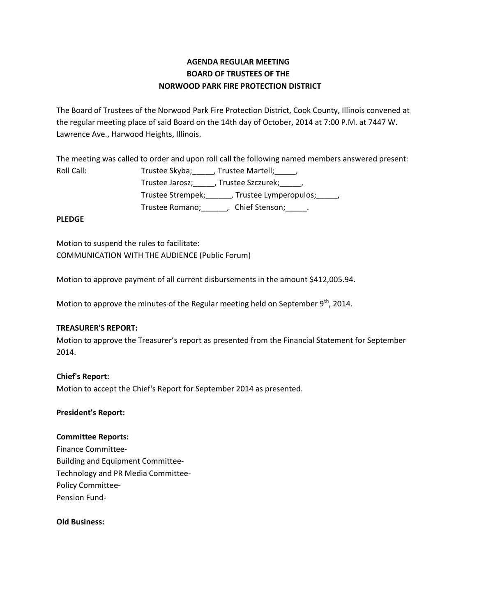# **AGENDA REGULAR MEETING BOARD OF TRUSTEES OF THE NORWOOD PARK FIRE PROTECTION DISTRICT**

The Board of Trustees of the Norwood Park Fire Protection District, Cook County, Illinois convened at the regular meeting place of said Board on the 14th day of October, 2014 at 7:00 P.M. at 7447 W. Lawrence Ave., Harwood Heights, Illinois.

The meeting was called to order and upon roll call the following named members answered present:

Roll Call: Trustee Skyba; \_\_\_\_, Trustee Martell; \_\_\_\_, Trustee Jarosz;\_\_\_\_\_, Trustee Szczurek;\_\_\_\_\_, Trustee Strempek;\_\_\_\_\_\_, Trustee Lymperopulos;\_\_\_\_\_, Trustee Romano;\_\_\_\_\_\_, Chief Stenson;\_\_\_\_\_.

### **PLEDGE**

Motion to suspend the rules to facilitate: COMMUNICATION WITH THE AUDIENCE (Public Forum)

Motion to approve payment of all current disbursements in the amount \$412,005.94.

Motion to approve the minutes of the Regular meeting held on September  $9<sup>th</sup>$ , 2014.

## **TREASURER'S REPORT:**

Motion to approve the Treasurer's report as presented from the Financial Statement for September 2014.

## **Chief's Report:**

Motion to accept the Chief's Report for September 2014 as presented.

#### **President's Report:**

#### **Committee Reports:**

Finance Committee-Building and Equipment Committee-Technology and PR Media Committee-Policy Committee-Pension Fund-

#### **Old Business:**